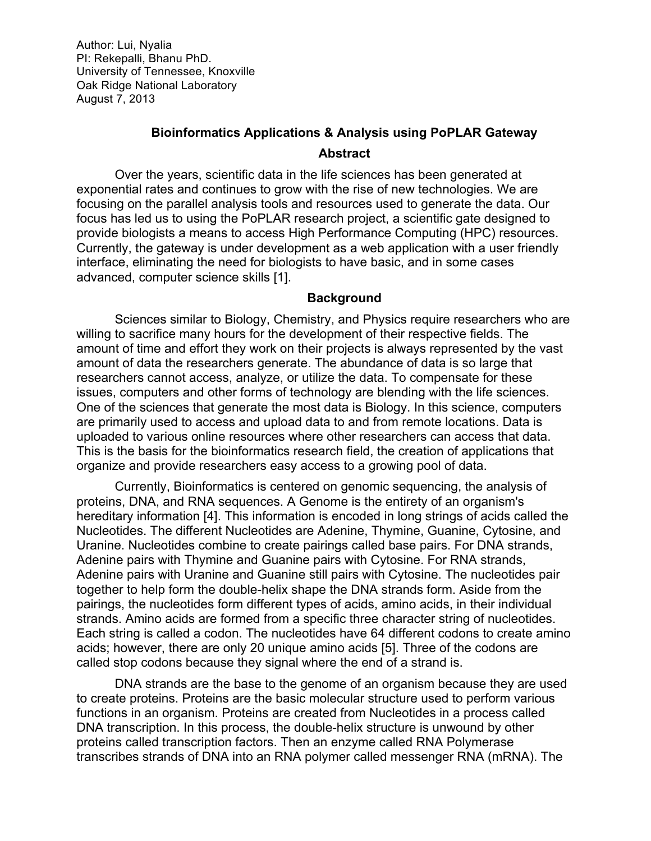# **Bioinformatics Applications & Analysis using PoPLAR Gateway Abstract**

Over the years, scientific data in the life sciences has been generated at exponential rates and continues to grow with the rise of new technologies. We are focusing on the parallel analysis tools and resources used to generate the data. Our focus has led us to using the PoPLAR research project, a scientific gate designed to provide biologists a means to access High Performance Computing (HPC) resources. Currently, the gateway is under development as a web application with a user friendly interface, eliminating the need for biologists to have basic, and in some cases advanced, computer science skills [1].

#### **Background**

Sciences similar to Biology, Chemistry, and Physics require researchers who are willing to sacrifice many hours for the development of their respective fields. The amount of time and effort they work on their projects is always represented by the vast amount of data the researchers generate. The abundance of data is so large that researchers cannot access, analyze, or utilize the data. To compensate for these issues, computers and other forms of technology are blending with the life sciences. One of the sciences that generate the most data is Biology. In this science, computers are primarily used to access and upload data to and from remote locations. Data is uploaded to various online resources where other researchers can access that data. This is the basis for the bioinformatics research field, the creation of applications that organize and provide researchers easy access to a growing pool of data.

Currently, Bioinformatics is centered on genomic sequencing, the analysis of proteins, DNA, and RNA sequences. A Genome is the entirety of an organism's hereditary information [4]. This information is encoded in long strings of acids called the Nucleotides. The different Nucleotides are Adenine, Thymine, Guanine, Cytosine, and Uranine. Nucleotides combine to create pairings called base pairs. For DNA strands, Adenine pairs with Thymine and Guanine pairs with Cytosine. For RNA strands, Adenine pairs with Uranine and Guanine still pairs with Cytosine. The nucleotides pair together to help form the double-helix shape the DNA strands form. Aside from the pairings, the nucleotides form different types of acids, amino acids, in their individual strands. Amino acids are formed from a specific three character string of nucleotides. Each string is called a codon. The nucleotides have 64 different codons to create amino acids; however, there are only 20 unique amino acids [5]. Three of the codons are called stop codons because they signal where the end of a strand is.

DNA strands are the base to the genome of an organism because they are used to create proteins. Proteins are the basic molecular structure used to perform various functions in an organism. Proteins are created from Nucleotides in a process called DNA transcription. In this process, the double-helix structure is unwound by other proteins called transcription factors. Then an enzyme called RNA Polymerase transcribes strands of DNA into an RNA polymer called messenger RNA (mRNA). The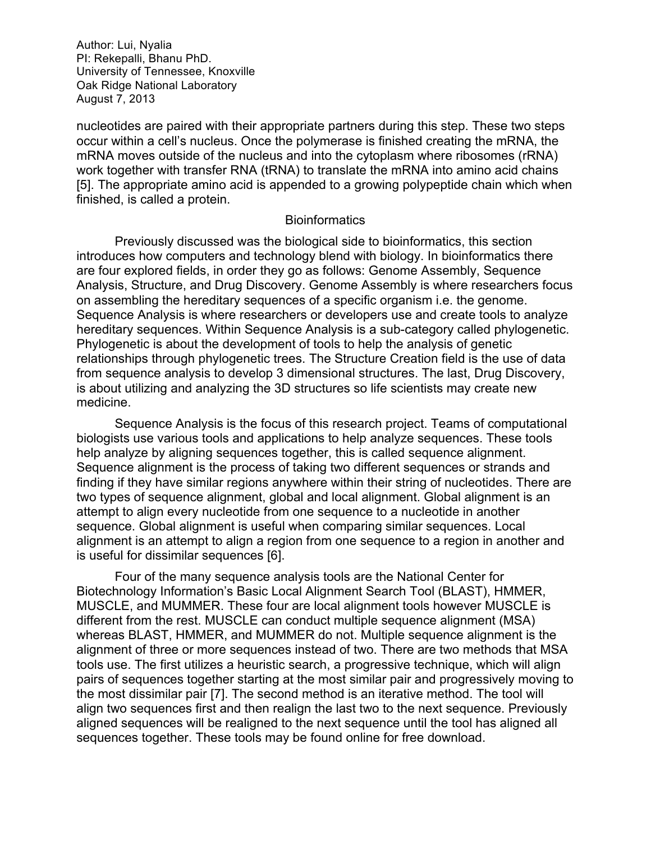nucleotides are paired with their appropriate partners during this step. These two steps occur within a cell's nucleus. Once the polymerase is finished creating the mRNA, the mRNA moves outside of the nucleus and into the cytoplasm where ribosomes (rRNA) work together with transfer RNA (tRNA) to translate the mRNA into amino acid chains [5]. The appropriate amino acid is appended to a growing polypeptide chain which when finished, is called a protein.

#### **Bioinformatics**

Previously discussed was the biological side to bioinformatics, this section introduces how computers and technology blend with biology. In bioinformatics there are four explored fields, in order they go as follows: Genome Assembly, Sequence Analysis, Structure, and Drug Discovery. Genome Assembly is where researchers focus on assembling the hereditary sequences of a specific organism i.e. the genome. Sequence Analysis is where researchers or developers use and create tools to analyze hereditary sequences. Within Sequence Analysis is a sub-category called phylogenetic. Phylogenetic is about the development of tools to help the analysis of genetic relationships through phylogenetic trees. The Structure Creation field is the use of data from sequence analysis to develop 3 dimensional structures. The last, Drug Discovery, is about utilizing and analyzing the 3D structures so life scientists may create new medicine.

Sequence Analysis is the focus of this research project. Teams of computational biologists use various tools and applications to help analyze sequences. These tools help analyze by aligning sequences together, this is called sequence alignment. Sequence alignment is the process of taking two different sequences or strands and finding if they have similar regions anywhere within their string of nucleotides. There are two types of sequence alignment, global and local alignment. Global alignment is an attempt to align every nucleotide from one sequence to a nucleotide in another sequence. Global alignment is useful when comparing similar sequences. Local alignment is an attempt to align a region from one sequence to a region in another and is useful for dissimilar sequences [6].

Four of the many sequence analysis tools are the National Center for Biotechnology Information's Basic Local Alignment Search Tool (BLAST), HMMER, MUSCLE, and MUMMER. These four are local alignment tools however MUSCLE is different from the rest. MUSCLE can conduct multiple sequence alignment (MSA) whereas BLAST, HMMER, and MUMMER do not. Multiple sequence alignment is the alignment of three or more sequences instead of two. There are two methods that MSA tools use. The first utilizes a heuristic search, a progressive technique, which will align pairs of sequences together starting at the most similar pair and progressively moving to the most dissimilar pair [7]. The second method is an iterative method. The tool will align two sequences first and then realign the last two to the next sequence. Previously aligned sequences will be realigned to the next sequence until the tool has aligned all sequences together. These tools may be found online for free download.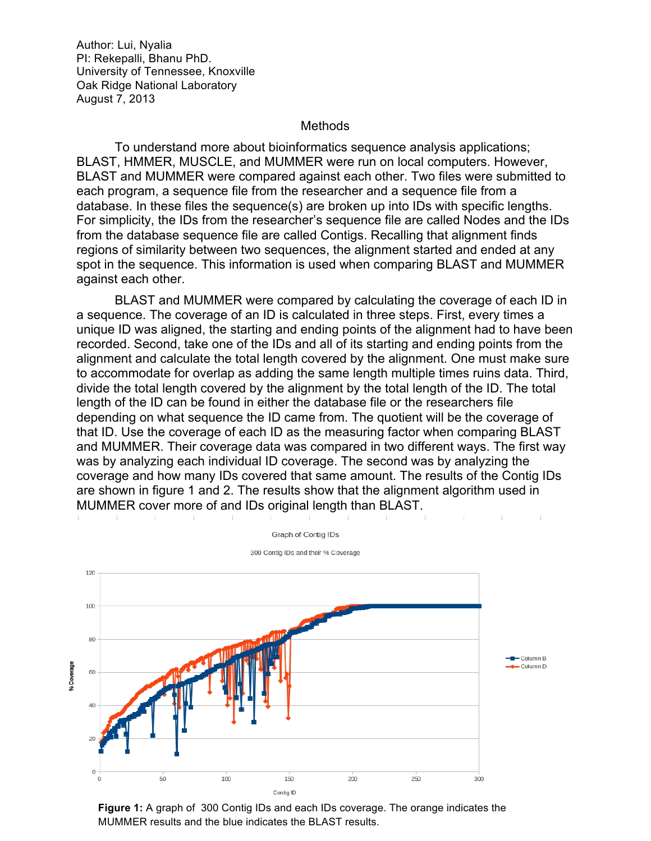**Methods** 

To understand more about bioinformatics sequence analysis applications; BLAST, HMMER, MUSCLE, and MUMMER were run on local computers. However, BLAST and MUMMER were compared against each other. Two files were submitted to each program, a sequence file from the researcher and a sequence file from a database. In these files the sequence(s) are broken up into IDs with specific lengths. For simplicity, the IDs from the researcher's sequence file are called Nodes and the IDs from the database sequence file are called Contigs. Recalling that alignment finds regions of similarity between two sequences, the alignment started and ended at any spot in the sequence. This information is used when comparing BLAST and MUMMER against each other.

BLAST and MUMMER were compared by calculating the coverage of each ID in a sequence. The coverage of an ID is calculated in three steps. First, every times a unique ID was aligned, the starting and ending points of the alignment had to have been recorded. Second, take one of the IDs and all of its starting and ending points from the alignment and calculate the total length covered by the alignment. One must make sure to accommodate for overlap as adding the same length multiple times ruins data. Third, divide the total length covered by the alignment by the total length of the ID. The total length of the ID can be found in either the database file or the researchers file depending on what sequence the ID came from. The quotient will be the coverage of that ID. Use the coverage of each ID as the measuring factor when comparing BLAST and MUMMER. Their coverage data was compared in two different ways. The first way was by analyzing each individual ID coverage. The second was by analyzing the coverage and how many IDs covered that same amount. The results of the Contig IDs are shown in figure 1 and 2. The results show that the alignment algorithm used in MUMMER cover more of and IDs original length than BLAST.



**Figure 1:** A graph of 300 Contig IDs and each IDs coverage. The orange indicates the MUMMER results and the blue indicates the BLAST results.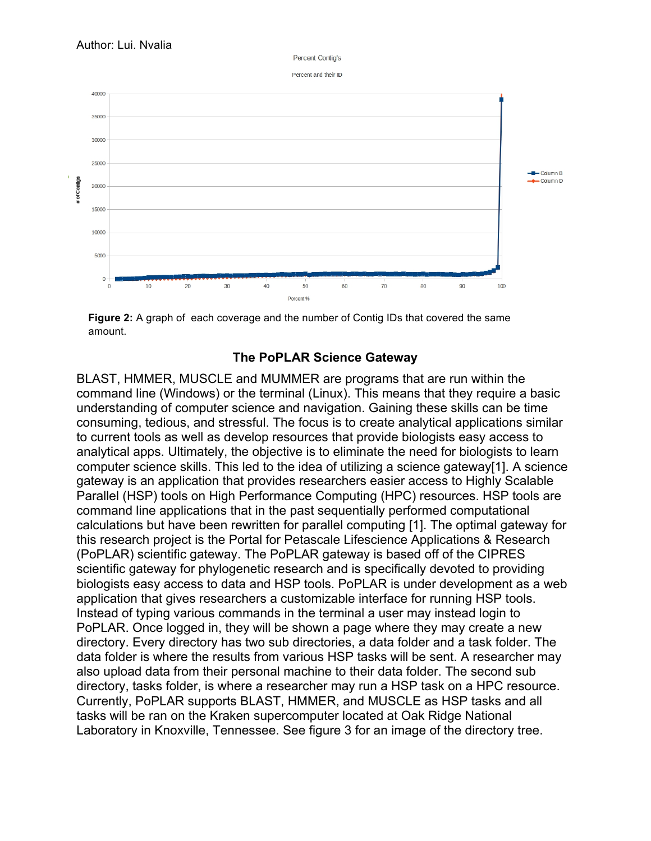Percent Contin's

Percent and their ID



**Figure 2:** A graph of each coverage and the number of Contig IDs that covered the same amount.

## **The PoPLAR Science Gateway**

BLAST, HMMER, MUSCLE and MUMMER are programs that are run within the command line (Windows) or the terminal (Linux). This means that they require a basic understanding of computer science and navigation. Gaining these skills can be time consuming, tedious, and stressful. The focus is to create analytical applications similar to current tools as well as develop resources that provide biologists easy access to analytical apps. Ultimately, the objective is to eliminate the need for biologists to learn computer science skills. This led to the idea of utilizing a science gateway[1]. A science gateway is an application that provides researchers easier access to Highly Scalable Parallel (HSP) tools on High Performance Computing (HPC) resources. HSP tools are command line applications that in the past sequentially performed computational calculations but have been rewritten for parallel computing [1]. The optimal gateway for this research project is the Portal for Petascale Lifescience Applications & Research (PoPLAR) scientific gateway. The PoPLAR gateway is based off of the CIPRES scientific gateway for phylogenetic research and is specifically devoted to providing biologists easy access to data and HSP tools. PoPLAR is under development as a web application that gives researchers a customizable interface for running HSP tools. Instead of typing various commands in the terminal a user may instead login to PoPLAR. Once logged in, they will be shown a page where they may create a new directory. Every directory has two sub directories, a data folder and a task folder. The data folder is where the results from various HSP tasks will be sent. A researcher may also upload data from their personal machine to their data folder. The second sub directory, tasks folder, is where a researcher may run a HSP task on a HPC resource. Currently, PoPLAR supports BLAST, HMMER, and MUSCLE as HSP tasks and all tasks will be ran on the Kraken supercomputer located at Oak Ridge National Laboratory in Knoxville, Tennessee. See figure 3 for an image of the directory tree.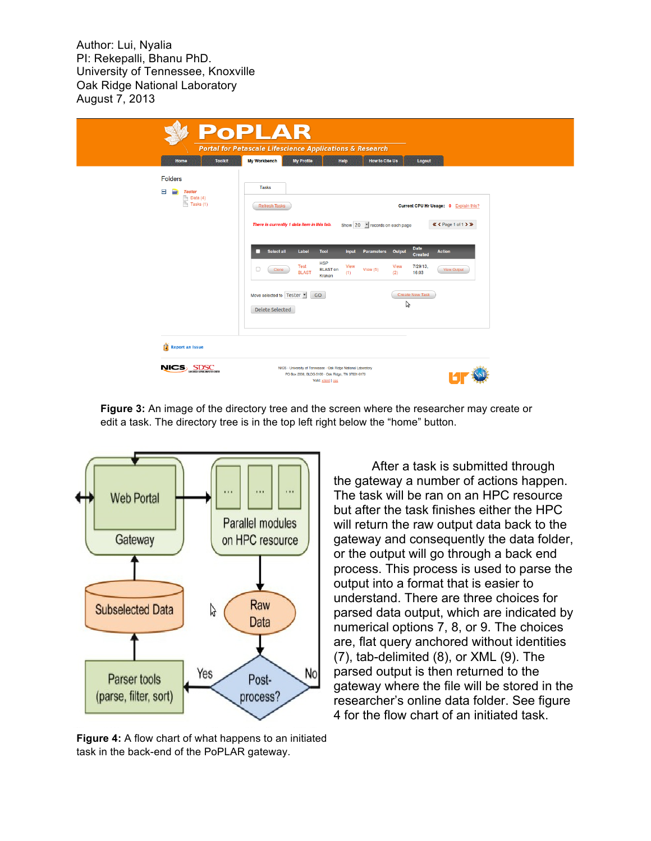|                                                                                                                                                                                                    | <b>PoPLAR</b><br><b>Portal for Petascale Lifescience Applications &amp; Research</b>                                                                                                                                                                                                                                                                                                             |
|----------------------------------------------------------------------------------------------------------------------------------------------------------------------------------------------------|--------------------------------------------------------------------------------------------------------------------------------------------------------------------------------------------------------------------------------------------------------------------------------------------------------------------------------------------------------------------------------------------------|
| <b>Toolkit</b><br>Home<br><b>Folders</b><br>$\blacksquare$<br>∍<br><b>Tester</b><br>$\begin{tabular}{ c c } \hline \textbf{a} & Data (4) \\ \hline \textbf{b} & Tasks (1) \\ \hline \end{tabular}$ | <b>My Workbench</b><br><b>My Profile</b><br>Help<br><b>How to Cite Us</b><br>Logout<br><b>Tasks</b><br><b>Refresh Tasks</b><br>Current CPU Hr Usage: 0 Explain this?<br>There is currently 1 data item in this tab.<br>« < Page 1 of 1 > »<br>Show 20 • records on each page                                                                                                                     |
|                                                                                                                                                                                                    | <b>Date</b><br>Select all<br><b>Parameters</b> Output<br>п<br>Label<br><b>Tool</b><br><b>Action</b><br><b>Input</b><br><b>Created</b><br><b>HSP</b><br>7/29/13,<br>Test<br>View<br>View<br>□<br><b>BLAST on</b><br>View $(5)$<br><b>View Output</b><br>Clone<br><b>BLAST</b><br>(2)<br>16:03<br>(1)<br>Kraken<br><b>Create New Task</b><br>Move selected to Tester<br>GO<br>ょ<br>Delete Selected |
| Á<br><b>Report an Issue</b>                                                                                                                                                                        |                                                                                                                                                                                                                                                                                                                                                                                                  |
| NICS SDSC                                                                                                                                                                                          | NICS - University of Tennessee - Oak Ridge National Laboratory<br>PO Box 2008, BLDG 5100 - Oak Ridge, TN 37831-6173<br>Valid: xhtml   css                                                                                                                                                                                                                                                        |

**Figure 3:** An image of the directory tree and the screen where the researcher may create or edit a task. The directory tree is in the top left right below the "home" button.



**Figure 4:** A flow chart of what happens to an initiated task in the back-end of the PoPLAR gateway.

After a task is submitted through the gateway a number of actions happen. The task will be ran on an HPC resource but after the task finishes either the HPC will return the raw output data back to the gateway and consequently the data folder, or the output will go through a back end process. This process is used to parse the output into a format that is easier to understand. There are three choices for parsed data output, which are indicated by numerical options 7, 8, or 9. The choices are, flat query anchored without identities (7), tab-delimited (8), or XML (9). The parsed output is then returned to the gateway where the file will be stored in the researcher's online data folder. See figure 4 for the flow chart of an initiated task.